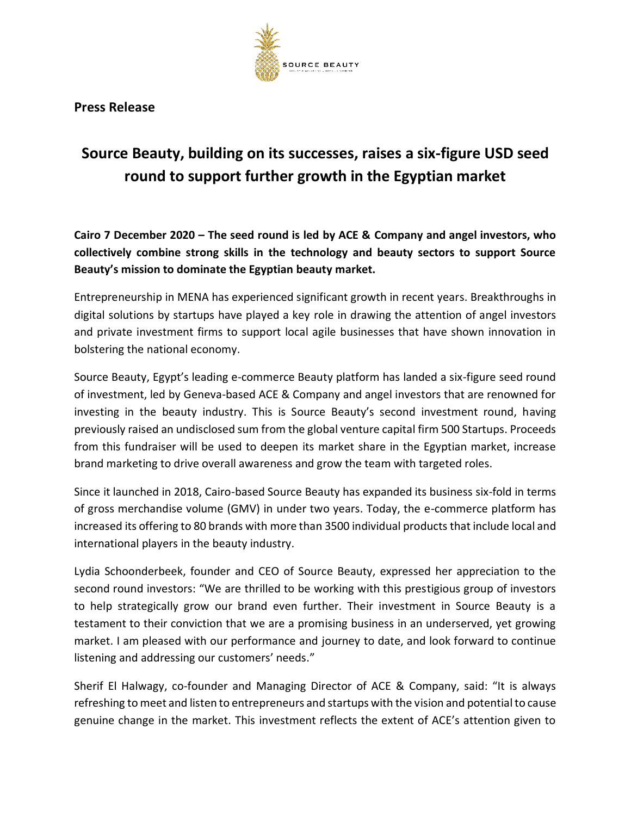

**Press Release**

## **Source Beauty, building on its successes, raises a six-figure USD seed round to support further growth in the Egyptian market**

**Cairo 7 December 2020 – The seed round is led by ACE & Company and angel investors, who collectively combine strong skills in the technology and beauty sectors to support Source Beauty's mission to dominate the Egyptian beauty market.** 

Entrepreneurship in MENA has experienced significant growth in recent years. Breakthroughs in digital solutions by startups have played a key role in drawing the attention of angel investors and private investment firms to support local agile businesses that have shown innovation in bolstering the national economy.

Source Beauty, Egypt's leading e-commerce Beauty platform has landed a six-figure seed round of investment, led by Geneva-based ACE & Company and angel investors that are renowned for investing in the beauty industry. This is Source Beauty's second investment round, having previously raised an undisclosed sum from the global venture capital firm 500 Startups. Proceeds from this fundraiser will be used to deepen its market share in the Egyptian market, increase brand marketing to drive overall awareness and grow the team with targeted roles.

Since it launched in 2018, Cairo-based Source Beauty has expanded its business six-fold in terms of gross merchandise volume (GMV) in under two years. Today, the e-commerce platform has increased its offering to 80 brands with more than 3500 individual products that include local and international players in the beauty industry.

Lydia Schoonderbeek, founder and CEO of Source Beauty, expressed her appreciation to the second round investors: "We are thrilled to be working with this prestigious group of investors to help strategically grow our brand even further. Their investment in Source Beauty is a testament to their conviction that we are a promising business in an underserved, yet growing market. I am pleased with our performance and journey to date, and look forward to continue listening and addressing our customers' needs."

Sherif El Halwagy, co-founder and Managing Director of ACE & Company, said: "It is always refreshing to meet and listen to entrepreneurs and startups with the vision and potential to cause genuine change in the market. This investment reflects the extent of ACE's attention given to